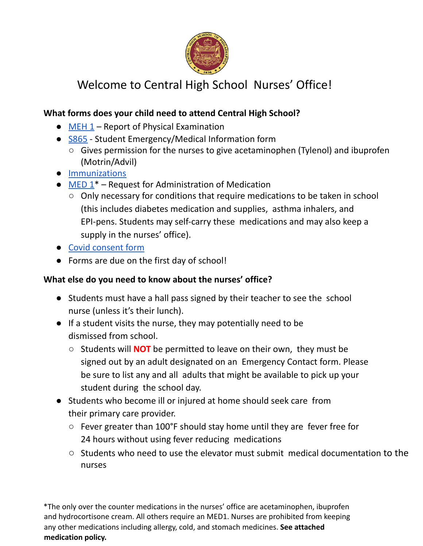

## Welcome to Central High School Nurses' Office!

## **What forms does your child need to attend Central High School?**

- $\bullet$  MEH 1 Report of Physical Examination
- S865 Student Emergency/Medical Information form
	- Gives permission for the nurses to give acetaminophen (Tylenol) and ibuprofen (Motrin/Advil)
- Immunizations
- $\bullet$  MED 1<sup>\*</sup> Request for Administration of Medication
	- Only necessary for conditions that require medications to be taken in school (this includes diabetes medication and supplies, asthma inhalers, and EPI-pens. Students may self-carry these medications and may also keep a supply in the nurses' office).
- Covid consent form
- Forms are due on the first day of school!

## **What else do you need to know about the nurses' office?**

- Students must have a hall pass signed by their teacher to see the school nurse (unless it's their lunch).
- If a student visits the nurse, they may potentially need to be dismissed from school.
	- Students will **NOT** be permitted to leave on their own, they must be signed out by an adult designated on an Emergency Contact form. Please be sure to list any and all adults that might be available to pick up your student during the school day.
- Students who become ill or injured at home should seek care from their primary care provider.
	- Fever greater than 100°F should stay home until they are fever free for 24 hours without using fever reducing medications
	- Students who need to use the elevator must submit medical documentation to the nurses

\*The only over the counter medications in the nurses' office are acetaminophen, ibuprofen and hydrocortisone cream. All others require an MED1. Nurses are prohibited from keeping any other medications including allergy, cold, and stomach medicines. **See attached medication policy.**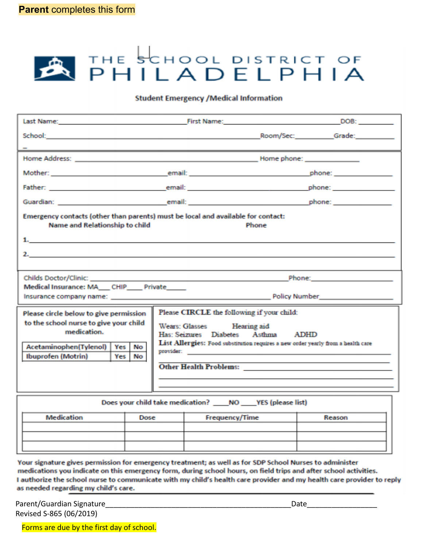# **A THE SCHOOL DISTRICT OF**

#### **Student Emergency /Medical Information**

| Emergency contacts (other than parents) must be local and available for contact:<br>Name and Relationship to child<br>Phone                                                  |                                                                                                                                                                                                                                                                       |                                                                                                                                                                                                                                     |  |
|------------------------------------------------------------------------------------------------------------------------------------------------------------------------------|-----------------------------------------------------------------------------------------------------------------------------------------------------------------------------------------------------------------------------------------------------------------------|-------------------------------------------------------------------------------------------------------------------------------------------------------------------------------------------------------------------------------------|--|
|                                                                                                                                                                              |                                                                                                                                                                                                                                                                       |                                                                                                                                                                                                                                     |  |
|                                                                                                                                                                              |                                                                                                                                                                                                                                                                       |                                                                                                                                                                                                                                     |  |
|                                                                                                                                                                              |                                                                                                                                                                                                                                                                       |                                                                                                                                                                                                                                     |  |
|                                                                                                                                                                              |                                                                                                                                                                                                                                                                       | and the contract of the contract of <b>Phone:</b> Phone: In the contract of the contract of the contract of the contract of the contract of the contract of the contract of the contract of the contract of the contract of the con |  |
| Medical Insurance: MA__CHIP___Private____                                                                                                                                    |                                                                                                                                                                                                                                                                       |                                                                                                                                                                                                                                     |  |
|                                                                                                                                                                              |                                                                                                                                                                                                                                                                       |                                                                                                                                                                                                                                     |  |
| Please circle below to give permission<br>to the school nurse to give your child<br>medication.<br>Yes No<br>Acetaminophen(Tylenol)  <br><b>Ibuprofen (Motrin)</b><br>Yes No | Please CIRCLE the following if your child:<br>Wears: Glasses Hearing aid<br>Has: Seizures Diabetes Asthma ADHD<br>List Allergies: Food substitution requires a new order yearly from a health care<br>the contract of the contract of the contract of the contract of |                                                                                                                                                                                                                                     |  |
| Does your child take medication? ____ NO ____ YES (please list)                                                                                                              |                                                                                                                                                                                                                                                                       |                                                                                                                                                                                                                                     |  |

| Medication | Dose | <b>Frequency/Time</b> | Reason |
|------------|------|-----------------------|--------|
|            |      |                       |        |
|            |      |                       |        |
|            |      |                       |        |

Your signature gives permission for emergency treatment; as well as for SDP School Nurses to administer medications you indicate on this emergency form, during school hours, on field trips and after school activities. I authorize the school nurse to communicate with my child's health care provider and my health care provider to reply as needed regarding my child's care.

Parent/Guardian Signature et al. 2016. The set of the set of the set of the set of the set of the set of the s Revised S-865 (06/2019)

Forms are due by the first day of school.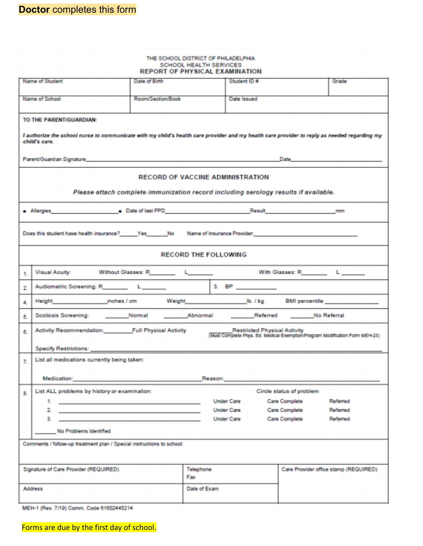|                                                                                                                                                                                                                                | REPORT OF PHYSICAL EXAMINATION                                                                                                                                                                                                 | THE SCHOOL DISTRICT OF PHILADELPHIA<br>SCHOOL HEALTH SERVICES |                                                                                                                     |                                       |
|--------------------------------------------------------------------------------------------------------------------------------------------------------------------------------------------------------------------------------|--------------------------------------------------------------------------------------------------------------------------------------------------------------------------------------------------------------------------------|---------------------------------------------------------------|---------------------------------------------------------------------------------------------------------------------|---------------------------------------|
| Name of Student                                                                                                                                                                                                                | Date of Birth                                                                                                                                                                                                                  | Student ID #                                                  |                                                                                                                     | Grade                                 |
| Name of School                                                                                                                                                                                                                 | Room/Section/Book                                                                                                                                                                                                              | Date Issued                                                   |                                                                                                                     |                                       |
| TO THE PARENT/GUARDIAN:                                                                                                                                                                                                        |                                                                                                                                                                                                                                |                                                               |                                                                                                                     |                                       |
| I authorize the school nurse to communicate with my child's health care provider and my health care provider to reply as needed regarding my<br>child's care.                                                                  |                                                                                                                                                                                                                                |                                                               |                                                                                                                     |                                       |
| Parent/Guardian Signature and Content of the Content of the Content of the Content of the Content of the Content of the Content of the Content of the Content of the Content of the Content of the Content of the Content of t |                                                                                                                                                                                                                                |                                                               |                                                                                                                     |                                       |
|                                                                                                                                                                                                                                | <b>RECORD OF VACCINE ADMINISTRATION</b>                                                                                                                                                                                        |                                                               |                                                                                                                     |                                       |
|                                                                                                                                                                                                                                | Please attach complete immunization record including serology results if available.                                                                                                                                            |                                                               |                                                                                                                     |                                       |
| Allergies and Date of last PPD Result non-                                                                                                                                                                                     |                                                                                                                                                                                                                                |                                                               |                                                                                                                     |                                       |
|                                                                                                                                                                                                                                |                                                                                                                                                                                                                                |                                                               |                                                                                                                     |                                       |
| Does this student have health insurance? Yes No Name of Insurance Provider.                                                                                                                                                    |                                                                                                                                                                                                                                |                                                               |                                                                                                                     |                                       |
|                                                                                                                                                                                                                                |                                                                                                                                                                                                                                | <b>RECORD THE FOLLOWING</b>                                   |                                                                                                                     |                                       |
| Visual Acuity:                                                                                                                                                                                                                 |                                                                                                                                                                                                                                |                                                               |                                                                                                                     |                                       |
| 2.                                                                                                                                                                                                                             |                                                                                                                                                                                                                                |                                                               |                                                                                                                     | <u> 1919 - John Barn Barn</u>         |
| Height inches / cm<br>4.                                                                                                                                                                                                       |                                                                                                                                                                                                                                |                                                               |                                                                                                                     |                                       |
| 5.                                                                                                                                                                                                                             |                                                                                                                                                                                                                                |                                                               |                                                                                                                     |                                       |
| 6.                                                                                                                                                                                                                             | Activity Recommendation: Full Physical Activity                                                                                                                                                                                |                                                               | <b>Restricted Physical Activity</b><br>(Must Complete Phys. Ed. Medical Exemption/Program Modification Form MEH-23) |                                       |
| Specify Restrictions:                                                                                                                                                                                                          |                                                                                                                                                                                                                                |                                                               |                                                                                                                     |                                       |
| List all medications currently being taken:<br>7.                                                                                                                                                                              |                                                                                                                                                                                                                                |                                                               |                                                                                                                     |                                       |
| Medication: The contract of the contract of the contract of the contract of the contract of the contract of the                                                                                                                |                                                                                                                                                                                                                                | Reason:                                                       |                                                                                                                     |                                       |
| List ALL problems by history or examination:<br>8.                                                                                                                                                                             |                                                                                                                                                                                                                                |                                                               | Circle status of problem                                                                                            |                                       |
|                                                                                                                                                                                                                                |                                                                                                                                                                                                                                | <b>Under Care</b>                                             | <b>Care Complete</b>                                                                                                | Referred                              |
|                                                                                                                                                                                                                                | 2. HE IS THE RESIDENCE OF A RESIDENCE OF A RESIDENCE OF A RESIDENCE OF A RESIDENCE OF A RESIDENCE OF A RESIDENCE OF A RESIDENCE OF A RESIDENCE OF A RESIDENCE OF A RESIDENCE OF A RESIDENCE OF A RESIDENCE OF A RESIDENCE OF A | <b>Under Care</b>                                             | <b>Care Complete</b>                                                                                                | Referred                              |
| 3.<br>No Problems Identified                                                                                                                                                                                                   |                                                                                                                                                                                                                                | <b>Under Care</b>                                             | Care Complete                                                                                                       | Referred                              |
| Comments / follow-up treatment plan / Special instructions to school:                                                                                                                                                          |                                                                                                                                                                                                                                |                                                               |                                                                                                                     |                                       |
|                                                                                                                                                                                                                                |                                                                                                                                                                                                                                |                                                               |                                                                                                                     |                                       |
|                                                                                                                                                                                                                                |                                                                                                                                                                                                                                |                                                               |                                                                                                                     | Care Provider office stamp (REQUIRED) |
|                                                                                                                                                                                                                                |                                                                                                                                                                                                                                | Telephone                                                     |                                                                                                                     |                                       |
| Signature of Care Provider (REQUIRED)<br><b>Address</b>                                                                                                                                                                        | Fax                                                                                                                                                                                                                            | Date of Exam                                                  |                                                                                                                     |                                       |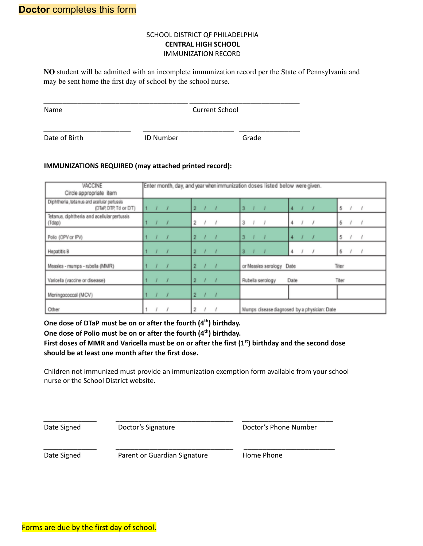#### SCHOOL DISTRICT QF PHILADELPHIA **CENTRAL HIGH SCHOOL** IMMUNIZATION RECORD

**NO** student will be admitted with an incomplete immunization record per the State of Pennsylvania and may be sent home the first day of school by the school nurse.

| Name          |                  | <b>Current School</b> |  |
|---------------|------------------|-----------------------|--|
| Date of Birth | <b>ID Number</b> | Grade                 |  |

#### **IMMUNIZATIONS REQUIRED (may attached printed record):**

| VACCINE                                                              | Enter month, day, and year when immunization doses listed below were given.                                       |  |
|----------------------------------------------------------------------|-------------------------------------------------------------------------------------------------------------------|--|
| Circle appropriate item                                              |                                                                                                                   |  |
| Diphtheria, tetanus and aceilular pertussis<br>(DTaP, DTP, Td or DT) | $\overline{3}$<br>2 <sub>1</sub><br>5/<br>11<br>$\overline{1}$<br>4<br>$\overline{ }$<br>$\overline{\phantom{a}}$ |  |
| Tetanus, diphtheria and acellular pertussis<br>(Tdap)                | 5/1<br>2 <sub>1</sub><br>$3 \sqrt{2}$<br>$\left  \ \right $<br>4<br>I<br>$\overline{\phantom{a}}$                 |  |
| Polio (OPV or IPV)                                                   | 5/<br>3<br>$\overline{2}$<br>4                                                                                    |  |
| Hepatitis B                                                          | 2 <sup>2</sup><br>$\mathbf{a}$<br>5<br>40<br>$\overline{\phantom{a}}$<br>4                                        |  |
| Measles - mumps - rubella (MMR)                                      | $\overline{2}$<br>or Measles serology Date<br>Titer<br>$\bullet$<br>$\overline{\phantom{a}}$                      |  |
| Varicella (vaccine or disease)                                       | $\overline{2}$<br>Date<br>Titer<br>Rubella serology                                                               |  |
| Meningococcal (MCV)                                                  | $2 \frac{1}{2}$<br>$\overline{\phantom{a}}$<br>$\overline{\phantom{a}}$                                           |  |
| Other                                                                | 2<br>Mumps disease diagnosed by a physician: Date                                                                 |  |

**One dose of DTaP must be on or after the fourth (4 th ) birthday.**

#### **One dose of Polio must be on or after the fourth (4 th ) birthday.**

First doses of MMR and Varicella must be on or after the first  $(1<sup>st</sup>)$  birthday and the second dose **should be at least one month after the first dose.**

Children not immunized must provide an immunization exemption form available from your school nurse or the School District website.

\_\_\_\_\_\_\_\_\_\_\_\_\_\_ \_\_\_\_\_\_\_\_\_\_\_\_\_\_\_\_\_\_\_\_\_\_\_\_\_\_\_\_\_\_\_ \_\_\_\_\_\_\_\_\_\_\_\_\_\_\_\_\_\_\_\_\_\_\_\_

\_\_\_\_\_\_\_\_\_\_\_\_\_\_ \_\_\_\_\_\_\_\_\_\_\_\_\_\_\_\_\_\_\_\_\_\_\_\_\_\_\_\_\_\_\_ \_\_\_\_\_\_\_\_\_\_\_\_\_\_\_\_\_\_\_\_\_\_\_\_

Date Signed Doctor's Signature Doctoring Doctor's Phone Number

Date Signed **Parent or Guardian Signature** Home Phone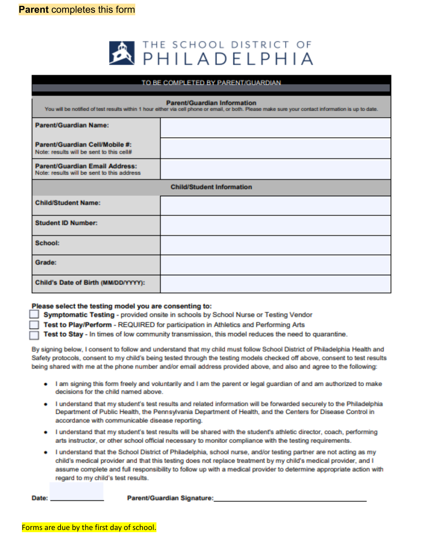

| TO BE COMPLETED BY PARENT/GUARDIAN                                                                                                                                                  |  |  |
|-------------------------------------------------------------------------------------------------------------------------------------------------------------------------------------|--|--|
| Parent/Guardian Information<br>You will be notified of test results within 1 hour either via cell phone or email, or both. Please make sure your contact information is up to date. |  |  |
| <b>Parent/Guardian Name:</b>                                                                                                                                                        |  |  |
| Parent/Guardian Cell/Mobile #:<br>Note: results will be sent to this cell#                                                                                                          |  |  |
| Parent/Guardian Email Address:<br>Note: results will be sent to this address                                                                                                        |  |  |
| <b>Child/Student Information</b>                                                                                                                                                    |  |  |
| <b>Child/Student Name:</b>                                                                                                                                                          |  |  |
| <b>Student ID Number:</b>                                                                                                                                                           |  |  |
| <b>School:</b>                                                                                                                                                                      |  |  |
| <b>Grade:</b>                                                                                                                                                                       |  |  |
| Child's Date of Birth (MM/DD/YYYY):                                                                                                                                                 |  |  |

#### Please select the testing model you are consenting to:

Symptomatic Testing - provided onsite in schools by School Nurse or Testing Vendor

Test to Play/Perform - REQUIRED for participation in Athletics and Performing Arts

Test to Stay - In times of low community transmission, this model reduces the need to quarantine.

By signing below, I consent to follow and understand that my child must follow School District of Philadelphia Health and Safety protocols, consent to my child's being tested through the testing models checked off above, consent to test results being shared with me at the phone number and/or email address provided above, and also and agree to the following:

- I am signing this form freely and voluntarily and I am the parent or legal guardian of and am authorized to make decisions for the child named above.
- . I understand that my student's test results and related information will be forwarded securely to the Philadelphia Department of Public Health, the Pennsylvania Department of Health, and the Centers for Disease Control in accordance with communicable disease reporting.
- . I understand that my student's test results will be shared with the student's athletic director, coach, performing arts instructor, or other school official necessary to monitor compliance with the testing requirements.
- I understand that the School District of Philadelphia, school nurse, and/or testing partner are not acting as my child's medical provider and that this testing does not replace treatment by my child's medical provider, and I assume complete and full responsibility to follow up with a medical provider to determine appropriate action with regard to my child's test results.

Parent/Guardian Signature: Date: